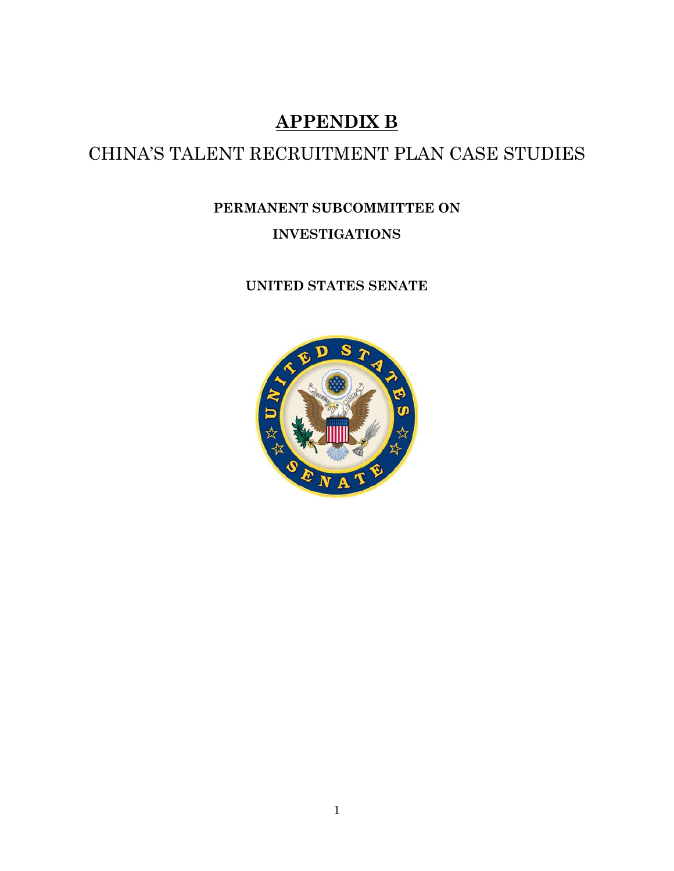# **APPENDIX B**

# CHINA'S TALENT RECRUITMENT PLAN CASE STUDIES

# **PERMANENT SUBCOMMITTEE ON INVESTIGATIONS**

# **UNITED STATES SENATE**

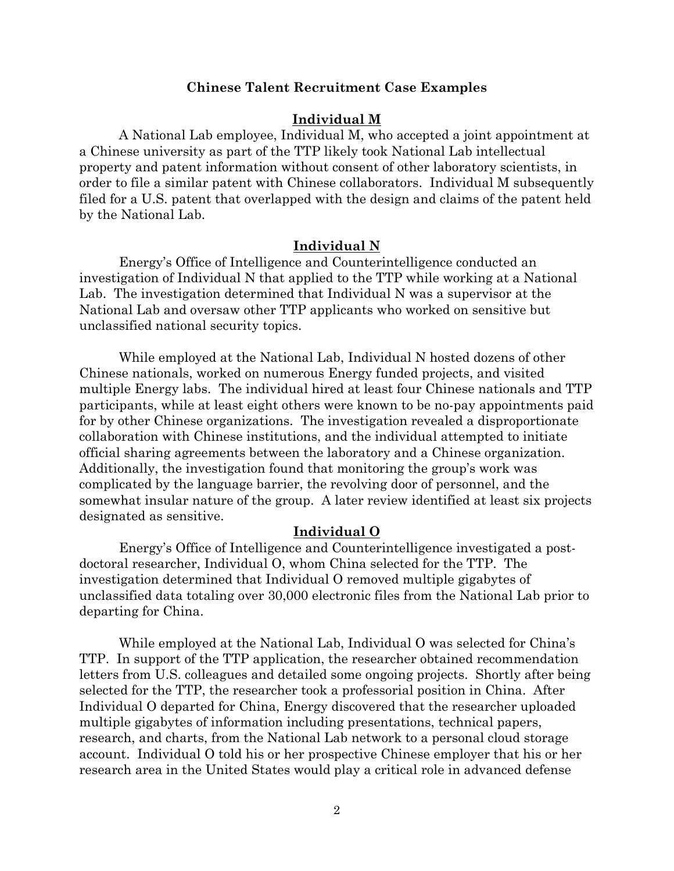## **Chinese Talent Recruitment Case Examples**

#### **Individual M**

A National Lab employee, Individual M, who accepted a joint appointment at a Chinese university as part of the TTP likely took National Lab intellectual property and patent information without consent of other laboratory scientists, in order to file a similar patent with Chinese collaborators. Individual M subsequently filed for a U.S. patent that overlapped with the design and claims of the patent held by the National Lab.

#### **Individual N**

Energy's Office of Intelligence and Counterintelligence conducted an investigation of Individual N that applied to the TTP while working at a National Lab. The investigation determined that Individual N was a supervisor at the National Lab and oversaw other TTP applicants who worked on sensitive but unclassified national security topics.

While employed at the National Lab, Individual N hosted dozens of other Chinese nationals, worked on numerous Energy funded projects, and visited multiple Energy labs. The individual hired at least four Chinese nationals and TTP participants, while at least eight others were known to be no-pay appointments paid for by other Chinese organizations. The investigation revealed a disproportionate collaboration with Chinese institutions, and the individual attempted to initiate official sharing agreements between the laboratory and a Chinese organization. Additionally, the investigation found that monitoring the group's work was complicated by the language barrier, the revolving door of personnel, and the somewhat insular nature of the group. A later review identified at least six projects designated as sensitive.

# **Individual O**

Energy's Office of Intelligence and Counterintelligence investigated a postdoctoral researcher, Individual O, whom China selected for the TTP. The investigation determined that Individual O removed multiple gigabytes of unclassified data totaling over 30,000 electronic files from the National Lab prior to departing for China.

While employed at the National Lab, Individual O was selected for China's TTP. In support of the TTP application, the researcher obtained recommendation letters from U.S. colleagues and detailed some ongoing projects. Shortly after being selected for the TTP, the researcher took a professorial position in China. After Individual O departed for China, Energy discovered that the researcher uploaded multiple gigabytes of information including presentations, technical papers, research, and charts, from the National Lab network to a personal cloud storage account. Individual O told his or her prospective Chinese employer that his or her research area in the United States would play a critical role in advanced defense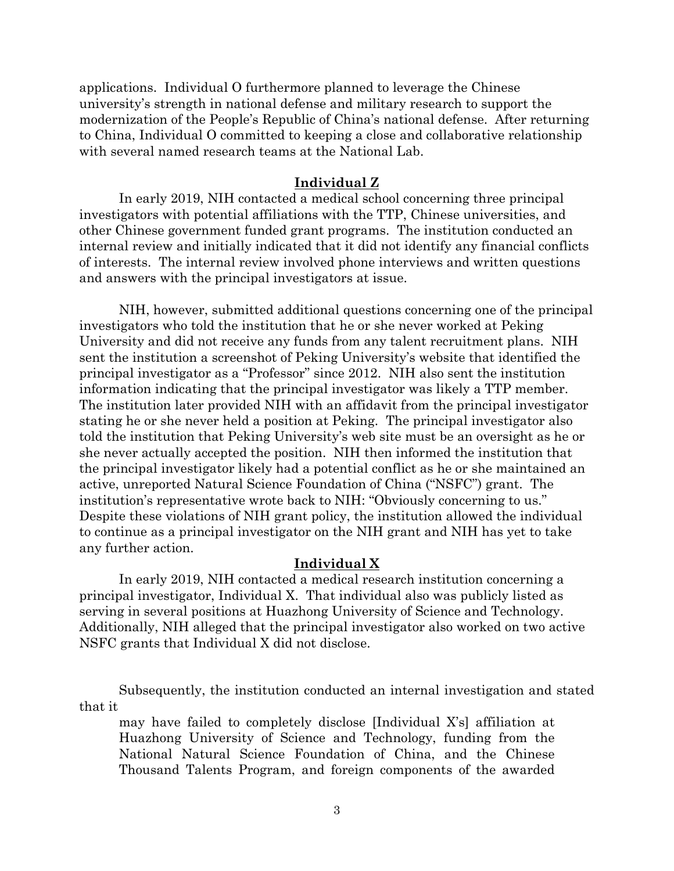applications. Individual O furthermore planned to leverage the Chinese university's strength in national defense and military research to support the modernization of the People's Republic of China's national defense. After returning to China, Individual O committed to keeping a close and collaborative relationship with several named research teams at the National Lab.

#### **Individual Z**

In early 2019, NIH contacted a medical school concerning three principal investigators with potential affiliations with the TTP, Chinese universities, and other Chinese government funded grant programs. The institution conducted an internal review and initially indicated that it did not identify any financial conflicts of interests. The internal review involved phone interviews and written questions and answers with the principal investigators at issue.

NIH, however, submitted additional questions concerning one of the principal investigators who told the institution that he or she never worked at Peking University and did not receive any funds from any talent recruitment plans. NIH sent the institution a screenshot of Peking University's website that identified the principal investigator as a "Professor" since 2012. NIH also sent the institution information indicating that the principal investigator was likely a TTP member. The institution later provided NIH with an affidavit from the principal investigator stating he or she never held a position at Peking. The principal investigator also told the institution that Peking University's web site must be an oversight as he or she never actually accepted the position. NIH then informed the institution that the principal investigator likely had a potential conflict as he or she maintained an active, unreported Natural Science Foundation of China ("NSFC") grant. The institution's representative wrote back to NIH: "Obviously concerning to us." Despite these violations of NIH grant policy, the institution allowed the individual to continue as a principal investigator on the NIH grant and NIH has yet to take any further action.

# **Individual X**

In early 2019, NIH contacted a medical research institution concerning a principal investigator, Individual X. That individual also was publicly listed as serving in several positions at Huazhong University of Science and Technology. Additionally, NIH alleged that the principal investigator also worked on two active NSFC grants that Individual X did not disclose.

Subsequently, the institution conducted an internal investigation and stated that it

may have failed to completely disclose [Individual X's] affiliation at Huazhong University of Science and Technology, funding from the National Natural Science Foundation of China, and the Chinese Thousand Talents Program, and foreign components of the awarded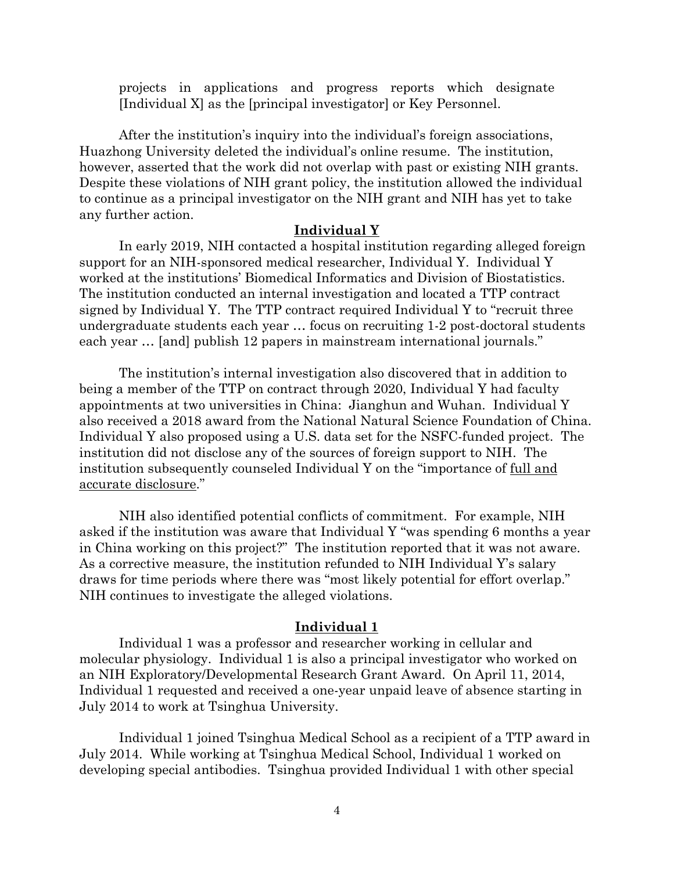projects in applications and progress reports which designate [Individual X] as the [principal investigator] or Key Personnel.

After the institution's inquiry into the individual's foreign associations, Huazhong University deleted the individual's online resume. The institution, however, asserted that the work did not overlap with past or existing NIH grants. Despite these violations of NIH grant policy, the institution allowed the individual to continue as a principal investigator on the NIH grant and NIH has yet to take any further action.

## **Individual Y**

In early 2019, NIH contacted a hospital institution regarding alleged foreign support for an NIH-sponsored medical researcher, Individual Y. Individual Y worked at the institutions' Biomedical Informatics and Division of Biostatistics. The institution conducted an internal investigation and located a TTP contract signed by Individual Y. The TTP contract required Individual Y to "recruit three undergraduate students each year … focus on recruiting 1-2 post-doctoral students each year … [and] publish 12 papers in mainstream international journals."

The institution's internal investigation also discovered that in addition to being a member of the TTP on contract through 2020, Individual Y had faculty appointments at two universities in China: Jianghun and Wuhan. Individual Y also received a 2018 award from the National Natural Science Foundation of China. Individual Y also proposed using a U.S. data set for the NSFC-funded project. The institution did not disclose any of the sources of foreign support to NIH. The institution subsequently counseled Individual Y on the "importance of full and accurate disclosure."

NIH also identified potential conflicts of commitment. For example, NIH asked if the institution was aware that Individual Y "was spending 6 months a year in China working on this project?" The institution reported that it was not aware. As a corrective measure, the institution refunded to NIH Individual Y's salary draws for time periods where there was "most likely potential for effort overlap." NIH continues to investigate the alleged violations.

#### **Individual 1**

Individual 1 was a professor and researcher working in cellular and molecular physiology. Individual 1 is also a principal investigator who worked on an NIH Exploratory/Developmental Research Grant Award. On April 11, 2014, Individual 1 requested and received a one-year unpaid leave of absence starting in July 2014 to work at Tsinghua University.

Individual 1 joined Tsinghua Medical School as a recipient of a TTP award in July 2014. While working at Tsinghua Medical School, Individual 1 worked on developing special antibodies. Tsinghua provided Individual 1 with other special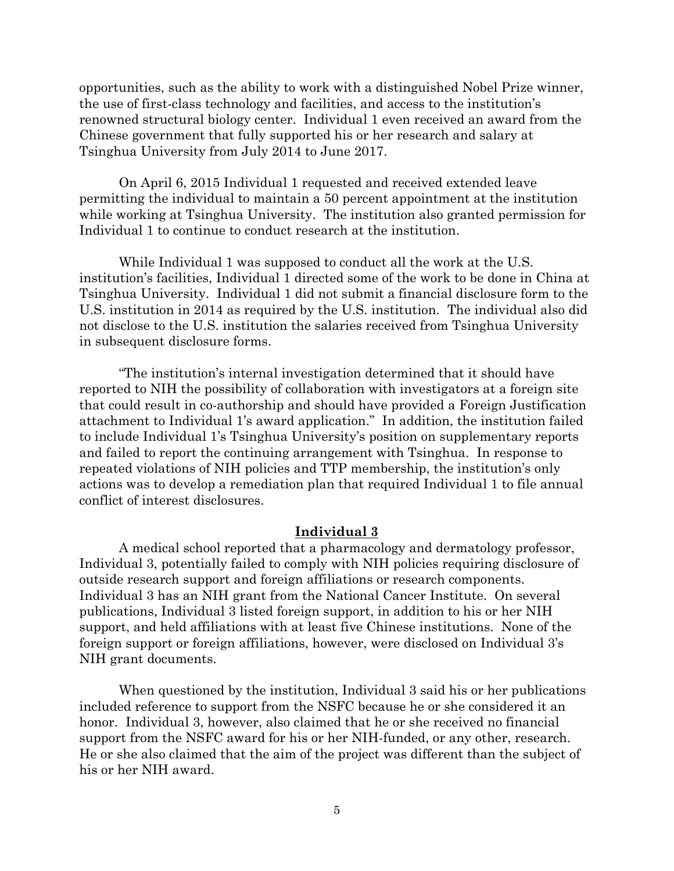opportunities, such as the ability to work with a distinguished Nobel Prize winner, the use of first-class technology and facilities, and access to the institution's renowned structural biology center. Individual 1 even received an award from the Chinese government that fully supported his or her research and salary at Tsinghua University from July 2014 to June 2017.

On April 6, 2015 Individual 1 requested and received extended leave permitting the individual to maintain a 50 percent appointment at the institution while working at Tsinghua University. The institution also granted permission for Individual 1 to continue to conduct research at the institution.

While Individual 1 was supposed to conduct all the work at the U.S. institution's facilities, Individual 1 directed some of the work to be done in China at Tsinghua University. Individual 1 did not submit a financial disclosure form to the U.S. institution in 2014 as required by the U.S. institution. The individual also did not disclose to the U.S. institution the salaries received from Tsinghua University in subsequent disclosure forms.

"The institution's internal investigation determined that it should have reported to NIH the possibility of collaboration with investigators at a foreign site that could result in co-authorship and should have provided a Foreign Justification attachment to Individual 1's award application." In addition, the institution failed to include Individual 1's Tsinghua University's position on supplementary reports and failed to report the continuing arrangement with Tsinghua. In response to repeated violations of NIH policies and TTP membership, the institution's only actions was to develop a remediation plan that required Individual 1 to file annual conflict of interest disclosures.

### **Individual 3**

A medical school reported that a pharmacology and dermatology professor, Individual 3, potentially failed to comply with NIH policies requiring disclosure of outside research support and foreign affiliations or research components. Individual 3 has an NIH grant from the National Cancer Institute. On several publications, Individual 3 listed foreign support, in addition to his or her NIH support, and held affiliations with at least five Chinese institutions. None of the foreign support or foreign affiliations, however, were disclosed on Individual 3's NIH grant documents.

When questioned by the institution, Individual 3 said his or her publications included reference to support from the NSFC because he or she considered it an honor. Individual 3, however, also claimed that he or she received no financial support from the NSFC award for his or her NIH-funded, or any other, research. He or she also claimed that the aim of the project was different than the subject of his or her NIH award.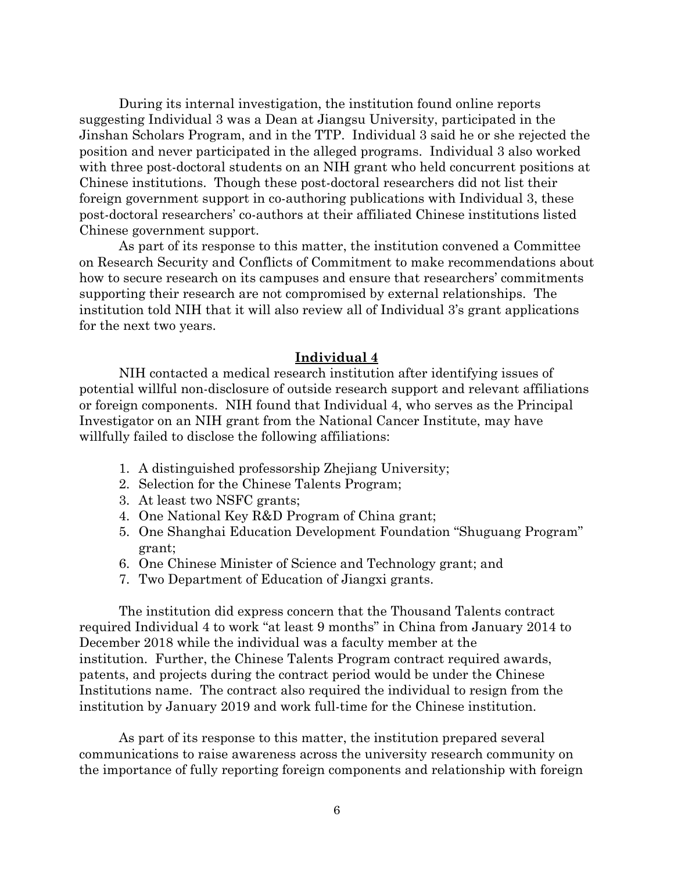During its internal investigation, the institution found online reports suggesting Individual 3 was a Dean at Jiangsu University, participated in the Jinshan Scholars Program, and in the TTP. Individual 3 said he or she rejected the position and never participated in the alleged programs. Individual 3 also worked with three post-doctoral students on an NIH grant who held concurrent positions at Chinese institutions. Though these post-doctoral researchers did not list their foreign government support in co-authoring publications with Individual 3, these post-doctoral researchers' co-authors at their affiliated Chinese institutions listed Chinese government support.

As part of its response to this matter, the institution convened a Committee on Research Security and Conflicts of Commitment to make recommendations about how to secure research on its campuses and ensure that researchers' commitments supporting their research are not compromised by external relationships. The institution told NIH that it will also review all of Individual 3's grant applications for the next two years.

### **Individual 4**

NIH contacted a medical research institution after identifying issues of potential willful non-disclosure of outside research support and relevant affiliations or foreign components. NIH found that Individual 4, who serves as the Principal Investigator on an NIH grant from the National Cancer Institute, may have willfully failed to disclose the following affiliations:

- 1. A distinguished professorship Zhejiang University;
- 2. Selection for the Chinese Talents Program;
- 3. At least two NSFC grants;
- 4. One National Key R&D Program of China grant;
- 5. One Shanghai Education Development Foundation "Shuguang Program" grant;
- 6. One Chinese Minister of Science and Technology grant; and
- 7. Two Department of Education of Jiangxi grants.

The institution did express concern that the Thousand Talents contract required Individual 4 to work "at least 9 months" in China from January 2014 to December 2018 while the individual was a faculty member at the institution. Further, the Chinese Talents Program contract required awards, patents, and projects during the contract period would be under the Chinese Institutions name. The contract also required the individual to resign from the institution by January 2019 and work full-time for the Chinese institution.

As part of its response to this matter, the institution prepared several communications to raise awareness across the university research community on the importance of fully reporting foreign components and relationship with foreign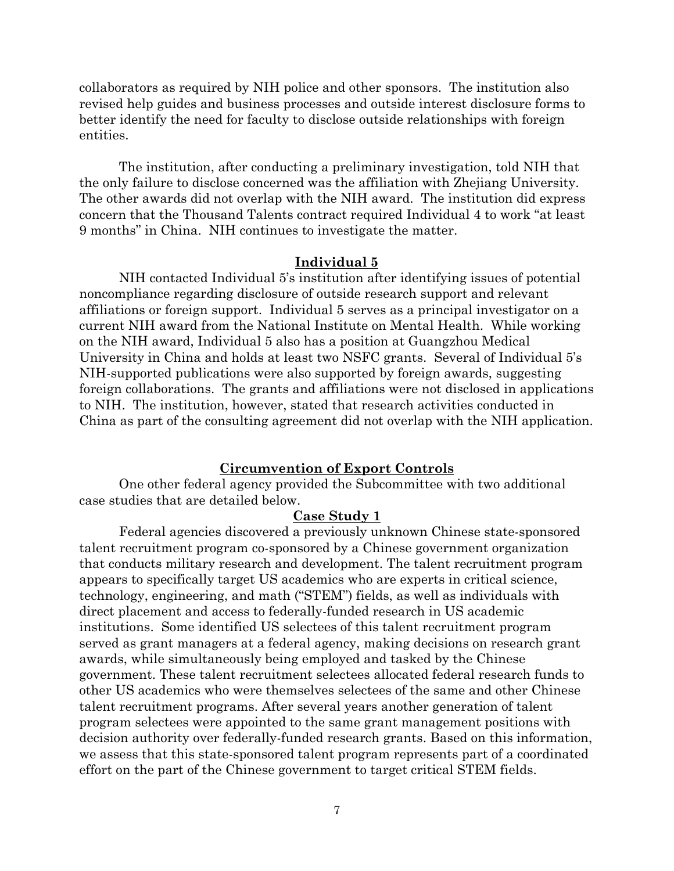collaborators as required by NIH police and other sponsors. The institution also revised help guides and business processes and outside interest disclosure forms to better identify the need for faculty to disclose outside relationships with foreign entities.

The institution, after conducting a preliminary investigation, told NIH that the only failure to disclose concerned was the affiliation with Zhejiang University. The other awards did not overlap with the NIH award. The institution did express concern that the Thousand Talents contract required Individual 4 to work "at least 9 months" in China. NIH continues to investigate the matter.

### **Individual 5**

NIH contacted Individual 5's institution after identifying issues of potential noncompliance regarding disclosure of outside research support and relevant affiliations or foreign support. Individual 5 serves as a principal investigator on a current NIH award from the National Institute on Mental Health. While working on the NIH award, Individual 5 also has a position at Guangzhou Medical University in China and holds at least two NSFC grants. Several of Individual 5's NIH-supported publications were also supported by foreign awards, suggesting foreign collaborations. The grants and affiliations were not disclosed in applications to NIH. The institution, however, stated that research activities conducted in China as part of the consulting agreement did not overlap with the NIH application.

# **Circumvention of Export Controls**

One other federal agency provided the Subcommittee with two additional case studies that are detailed below.

#### **Case Study 1**

Federal agencies discovered a previously unknown Chinese state-sponsored talent recruitment program co-sponsored by a Chinese government organization that conducts military research and development. The talent recruitment program appears to specifically target US academics who are experts in critical science, technology, engineering, and math ("STEM") fields, as well as individuals with direct placement and access to federally-funded research in US academic institutions. Some identified US selectees of this talent recruitment program served as grant managers at a federal agency, making decisions on research grant awards, while simultaneously being employed and tasked by the Chinese government. These talent recruitment selectees allocated federal research funds to other US academics who were themselves selectees of the same and other Chinese talent recruitment programs. After several years another generation of talent program selectees were appointed to the same grant management positions with decision authority over federally-funded research grants. Based on this information, we assess that this state-sponsored talent program represents part of a coordinated effort on the part of the Chinese government to target critical STEM fields.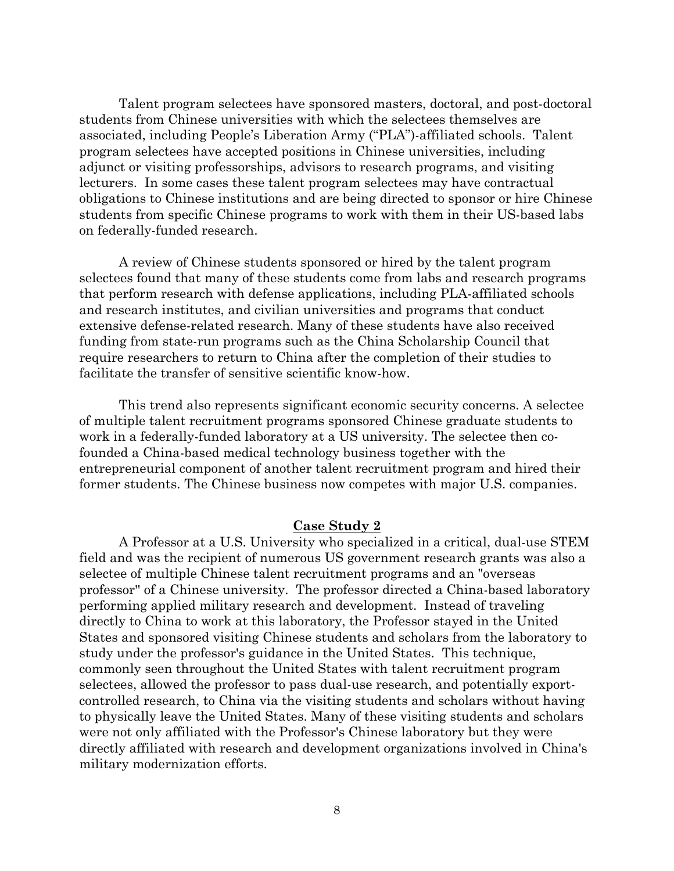Talent program selectees have sponsored masters, doctoral, and post-doctoral students from Chinese universities with which the selectees themselves are associated, including People's Liberation Army ("PLA")-affiliated schools. Talent program selectees have accepted positions in Chinese universities, including adjunct or visiting professorships, advisors to research programs, and visiting lecturers. In some cases these talent program selectees may have contractual obligations to Chinese institutions and are being directed to sponsor or hire Chinese students from specific Chinese programs to work with them in their US-based labs on federally-funded research.

A review of Chinese students sponsored or hired by the talent program selectees found that many of these students come from labs and research programs that perform research with defense applications, including PLA-affiliated schools and research institutes, and civilian universities and programs that conduct extensive defense-related research. Many of these students have also received funding from state-run programs such as the China Scholarship Council that require researchers to return to China after the completion of their studies to facilitate the transfer of sensitive scientific know-how.

This trend also represents significant economic security concerns. A selectee of multiple talent recruitment programs sponsored Chinese graduate students to work in a federally-funded laboratory at a US university. The selectee then cofounded a China-based medical technology business together with the entrepreneurial component of another talent recruitment program and hired their former students. The Chinese business now competes with major U.S. companies.

# **Case Study 2**

A Professor at a U.S. University who specialized in a critical, dual-use STEM field and was the recipient of numerous US government research grants was also a selectee of multiple Chinese talent recruitment programs and an "overseas professor'' of a Chinese university. The professor directed a China-based laboratory performing applied military research and development. Instead of traveling directly to China to work at this laboratory, the Professor stayed in the United States and sponsored visiting Chinese students and scholars from the laboratory to study under the professor's guidance in the United States. This technique, commonly seen throughout the United States with talent recruitment program selectees, allowed the professor to pass dual-use research, and potentially exportcontrolled research, to China via the visiting students and scholars without having to physically leave the United States. Many of these visiting students and scholars were not only affiliated with the Professor's Chinese laboratory but they were directly affiliated with research and development organizations involved in China's military modernization efforts.